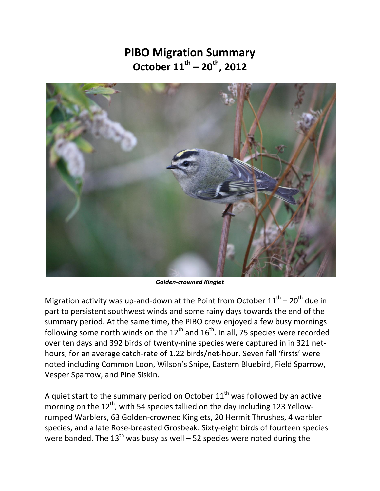## **PIBO Migration Summary October 11th – 20th, 2012**



*Golden-crowned Kinglet* 

Migration activity was up-and-down at the Point from October  $11<sup>th</sup> - 20<sup>th</sup>$  due in part to persistent southwest winds and some rainy days towards the end of the summary period. At the same time, the PIBO crew enjoyed a few busy mornings following some north winds on the  $12<sup>th</sup>$  and  $16<sup>th</sup>$ . In all, 75 species were recorded over ten days and 392 birds of twenty-nine species were captured in in 321 nethours, for an average catch-rate of 1.22 birds/net-hour. Seven fall 'firsts' were noted including Common Loon, Wilson's Snipe, Eastern Bluebird, Field Sparrow, Vesper Sparrow, and Pine Siskin.

A quiet start to the summary period on October  $11<sup>th</sup>$  was followed by an active morning on the  $12<sup>th</sup>$ , with 54 species tallied on the day including 123 Yellowrumped Warblers, 63 Golden-crowned Kinglets, 20 Hermit Thrushes, 4 warbler species, and a late Rose-breasted Grosbeak. Sixty-eight birds of fourteen species were banded. The  $13<sup>th</sup>$  was busy as well – 52 species were noted during the